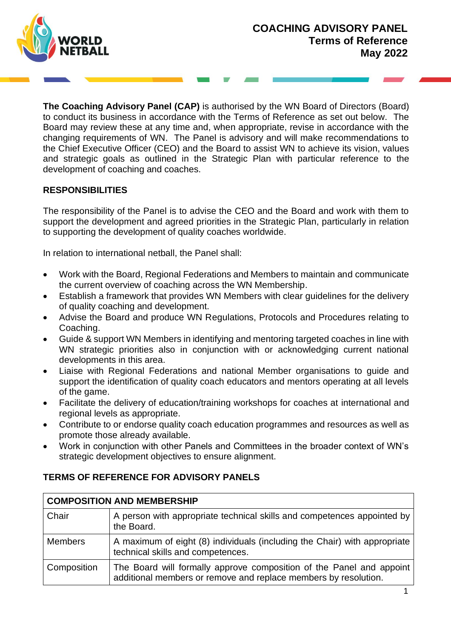

**The Coaching Advisory Panel (CAP)** is authorised by the WN Board of Directors (Board) to conduct its business in accordance with the Terms of Reference as set out below. The Board may review these at any time and, when appropriate, revise in accordance with the changing requirements of WN. The Panel is advisory and will make recommendations to the Chief Executive Officer (CEO) and the Board to assist WN to achieve its vision, values and strategic goals as outlined in the Strategic Plan with particular reference to the development of coaching and coaches.

## **RESPONSIBILITIES**

The responsibility of the Panel is to advise the CEO and the Board and work with them to support the development and agreed priorities in the Strategic Plan, particularly in relation to supporting the development of quality coaches worldwide.

In relation to international netball, the Panel shall:

- Work with the Board, Regional Federations and Members to maintain and communicate the current overview of coaching across the WN Membership.
- Establish a framework that provides WN Members with clear guidelines for the delivery of quality coaching and development.
- Advise the Board and produce WN Regulations, Protocols and Procedures relating to Coaching.
- Guide & support WN Members in identifying and mentoring targeted coaches in line with WN strategic priorities also in conjunction with or acknowledging current national developments in this area.
- Liaise with Regional Federations and national Member organisations to guide and support the identification of quality coach educators and mentors operating at all levels of the game.
- Facilitate the delivery of education/training workshops for coaches at international and regional levels as appropriate.
- Contribute to or endorse quality coach education programmes and resources as well as promote those already available.
- Work in conjunction with other Panels and Committees in the broader context of WN's strategic development objectives to ensure alignment.

## **TERMS OF REFERENCE FOR ADVISORY PANELS**

| <b>COMPOSITION AND MEMBERSHIP</b> |                                                                                                                                         |  |
|-----------------------------------|-----------------------------------------------------------------------------------------------------------------------------------------|--|
| Chair                             | A person with appropriate technical skills and competences appointed by<br>the Board.                                                   |  |
| <b>Members</b>                    | A maximum of eight (8) individuals (including the Chair) with appropriate<br>technical skills and competences.                          |  |
| Composition                       | The Board will formally approve composition of the Panel and appoint<br>additional members or remove and replace members by resolution. |  |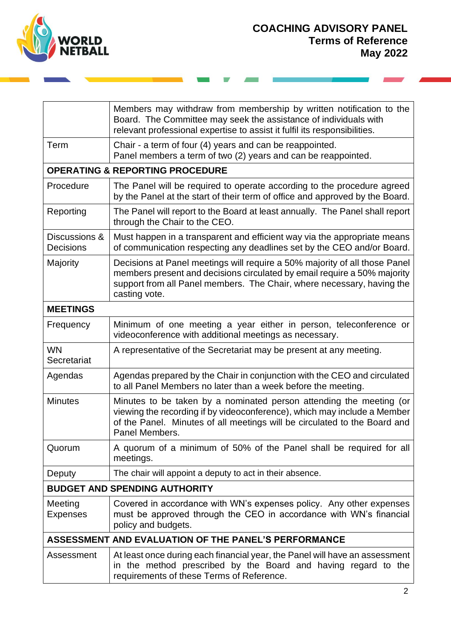

|                                                             | Members may withdraw from membership by written notification to the<br>Board. The Committee may seek the assistance of individuals with<br>relevant professional expertise to assist it fulfil its responsibilities.                              |  |
|-------------------------------------------------------------|---------------------------------------------------------------------------------------------------------------------------------------------------------------------------------------------------------------------------------------------------|--|
| Term                                                        | Chair - a term of four (4) years and can be reappointed.<br>Panel members a term of two (2) years and can be reappointed.                                                                                                                         |  |
| <b>OPERATING &amp; REPORTING PROCEDURE</b>                  |                                                                                                                                                                                                                                                   |  |
| Procedure                                                   | The Panel will be required to operate according to the procedure agreed<br>by the Panel at the start of their term of office and approved by the Board.                                                                                           |  |
| Reporting                                                   | The Panel will report to the Board at least annually. The Panel shall report<br>through the Chair to the CEO.                                                                                                                                     |  |
| Discussions &<br>Decisions                                  | Must happen in a transparent and efficient way via the appropriate means<br>of communication respecting any deadlines set by the CEO and/or Board.                                                                                                |  |
| Majority                                                    | Decisions at Panel meetings will require a 50% majority of all those Panel<br>members present and decisions circulated by email require a 50% majority<br>support from all Panel members. The Chair, where necessary, having the<br>casting vote. |  |
| <b>MEETINGS</b>                                             |                                                                                                                                                                                                                                                   |  |
| Frequency                                                   | Minimum of one meeting a year either in person, teleconference or<br>videoconference with additional meetings as necessary.                                                                                                                       |  |
| <b>WN</b><br>Secretariat                                    | A representative of the Secretariat may be present at any meeting.                                                                                                                                                                                |  |
| Agendas                                                     | Agendas prepared by the Chair in conjunction with the CEO and circulated<br>to all Panel Members no later than a week before the meeting.                                                                                                         |  |
| <b>Minutes</b>                                              | Minutes to be taken by a nominated person attending the meeting (or<br>viewing the recording if by videoconference), which may include a Member<br>of the Panel. Minutes of all meetings will be circulated to the Board and<br>Panel Members.    |  |
| Quorum                                                      | A quorum of a minimum of 50% of the Panel shall be required for all<br>meetings.                                                                                                                                                                  |  |
| Deputy                                                      | The chair will appoint a deputy to act in their absence.                                                                                                                                                                                          |  |
| <b>BUDGET AND SPENDING AUTHORITY</b>                        |                                                                                                                                                                                                                                                   |  |
| Meeting<br><b>Expenses</b>                                  | Covered in accordance with WN's expenses policy. Any other expenses<br>must be approved through the CEO in accordance with WN's financial<br>policy and budgets.                                                                                  |  |
| <b>ASSESSMENT AND EVALUATION OF THE PANEL'S PERFORMANCE</b> |                                                                                                                                                                                                                                                   |  |
| Assessment                                                  | At least once during each financial year, the Panel will have an assessment<br>in the method prescribed by the Board and having regard to the<br>requirements of these Terms of Reference.                                                        |  |